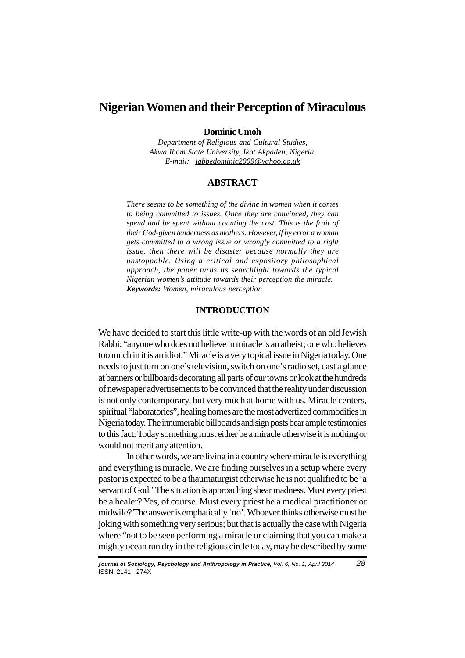# **Nigerian Women and their Perception of Miraculous**

# **Dominic Umoh**

*Department of Religious and Cultural Studies, Akwa Ibom State University, Ikot Akpaden, Nigeria. E-mail: labbedominic2009@yahoo.co.uk*

#### **ABSTRACT**

*There seems to be something of the divine in women when it comes to being committed to issues. Once they are convinced, they can spend and be spent without counting the cost. This is the fruit of their God-given tenderness as mothers. However, if by error a woman gets committed to a wrong issue or wrongly committed to a right issue, then there will be disaster because normally they are unstoppable. Using a critical and expository philosophical approach, the paper turns its searchlight towards the typical Nigerian women's attitude towards their perception the miracle. Keywords: Women, miraculous perception*

## **INTRODUCTION**

We have decided to start this little write-up with the words of an old Jewish Rabbi: "anyone who does not believe in miracle is an atheist; one who believes too much in it is an idiot." Miracle is a very topical issue in Nigeria today. One needs to just turn on one's television, switch on one's radio set, cast a glance at banners or billboards decorating all parts of our towns or look at the hundreds of newspaper advertisements to be convinced that the reality under discussion is not only contemporary, but very much at home with us. Miracle centers, spiritual "laboratories", healing homes are the most advertized commodities in Nigeria today. The innumerable billboards and sign posts bear ample testimonies to this fact: Today something must either be a miracle otherwise it is nothing or would not merit any attention.

In other words, we are living in a country where miracle is everything and everything is miracle. We are finding ourselves in a setup where every pastor is expected to be a thaumaturgist otherwise he is not qualified to be 'a servant of God.' The situation is approaching shear madness. Must every priest be a healer? Yes, of course. Must every priest be a medical practitioner or midwife? The answer is emphatically 'no'. Whoever thinks otherwise must be joking with something very serious; but that is actually the case with Nigeria where "not to be seen performing a miracle or claiming that you can make a mighty ocean run dry in the religious circle today, may be described by some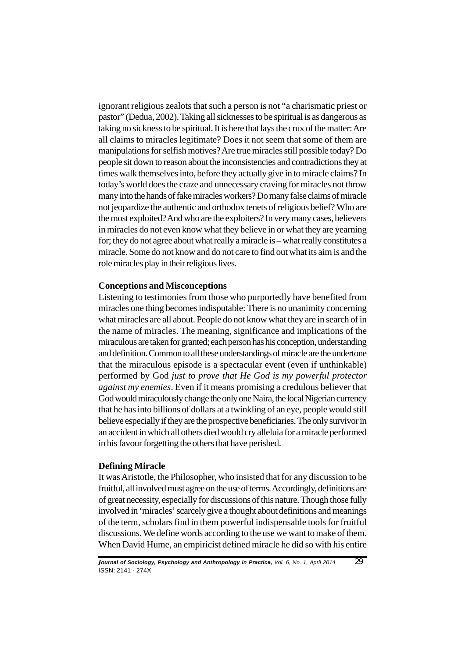ignorant religious zealots that such a person is not "a charismatic priest or pastor" (Dedua, 2002). Taking all sicknesses to be spiritual is as dangerous as taking no sickness to be spiritual. It is here that lays the crux of the matter: Are all claims to miracles legitimate? Does it not seem that some of them are manipulations for selfish motives? Are true miracles still possible today? Do people sit down to reason about the inconsistencies and contradictions they at times walk themselves into, before they actually give in to miracle claims? In today's world does the craze and unnecessary craving for miracles not throw many into the hands of fake miracles workers? Do many false claims of miracle not jeopardize the authentic and orthodox tenets of religious belief? Who are the most exploited? And who are the exploiters? In very many cases, believers in miracles do not even know what they believe in or what they are yearning for; they do not agree about what really a miracle is – what really constitutes a miracle. Some do not know and do not care to find out what its aim is and the role miracles play in their religious lives.

## **Conceptions and Misconceptions**

Listening to testimonies from those who purportedly have benefited from miracles one thing becomes indisputable: There is no unanimity concerning what miracles are all about. People do not know what they are in search of in the name of miracles. The meaning, significance and implications of the miraculous are taken for granted; each person has his conception, understanding and definition. Common to all these understandings of miracle are the undertone that the miraculous episode is a spectacular event (even if unthinkable) performed by God *just to prove that He God is my powerful protector against my enemies*. Even if it means promising a credulous believer that God would miraculously change the only one Naira, the local Nigerian currency that he has into billions of dollars at a twinkling of an eye, people would still believe especially if they are the prospective beneficiaries. The only survivor in an accident in which all others died would cry alleluia for a miracle performed in his favour forgetting the others that have perished.

#### **Defining Miracle**

It was Aristotle, the Philosopher, who insisted that for any discussion to be fruitful, all involved must agree on the use of terms. Accordingly, definitions are of great necessity, especially for discussions of this nature. Though those fully involved in 'miracles' scarcely give a thought about definitions and meanings of the term, scholars find in them powerful indispensable tools for fruitful discussions. We define words according to the use we want to make of them. When David Hume, an empiricist defined miracle he did so with his entire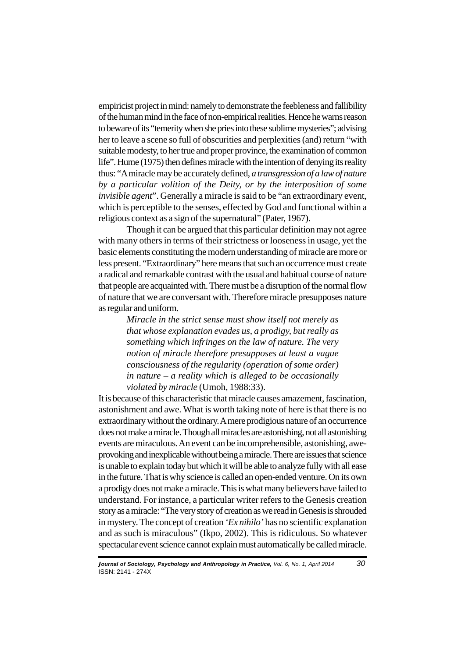empiricist project in mind: namely to demonstrate the feebleness and fallibility of the human mind in the face of non-empirical realities. Hence he warns reason to beware of its "temerity when she pries into these sublime mysteries"; advising her to leave a scene so full of obscurities and perplexities (and) return "with suitable modesty, to her true and proper province, the examination of common life". Hume (1975) then defines miracle with the intention of denying its reality thus: "A miracle may be accurately defined, *a transgression of a law of nature by a particular volition of the Deity, or by the interposition of some invisible agent*". Generally a miracle is said to be "an extraordinary event, which is perceptible to the senses, effected by God and functional within a religious context as a sign of the supernatural" (Pater, 1967).

Though it can be argued that this particular definition may not agree with many others in terms of their strictness or looseness in usage, yet the basic elements constituting the modern understanding of miracle are more or less present. "Extraordinary" here means that such an occurrence must create a radical and remarkable contrast with the usual and habitual course of nature that people are acquainted with. There must be a disruption of the normal flow of nature that we are conversant with. Therefore miracle presupposes nature as regular and uniform.

> *Miracle in the strict sense must show itself not merely as that whose explanation evades us, a prodigy, but really as something which infringes on the law of nature. The very notion of miracle therefore presupposes at least a vague consciousness of the regularity (operation of some order) in nature – a reality which is alleged to be occasionally violated by miracle* (Umoh, 1988:33).

It is because of this characteristic that miracle causes amazement, fascination, astonishment and awe. What is worth taking note of here is that there is no extraordinary without the ordinary. A mere prodigious nature of an occurrence does not make a miracle. Though all miracles are astonishing, not all astonishing events are miraculous. An event can be incomprehensible, astonishing, aweprovoking and inexplicable without being a miracle. There are issues that science is unable to explain today but which it will be able to analyze fully with all ease in the future. That is why science is called an open-ended venture. On its own a prodigy does not make a miracle. This is what many believers have failed to understand. For instance, a particular writer refers to the Genesis creation story as a miracle: "The very story of creation as we read in Genesis is shrouded in mystery. The concept of creation *'Ex nihilo'* has no scientific explanation and as such is miraculous" (Ikpo, 2002). This is ridiculous. So whatever spectacular event science cannot explain must automatically be called miracle.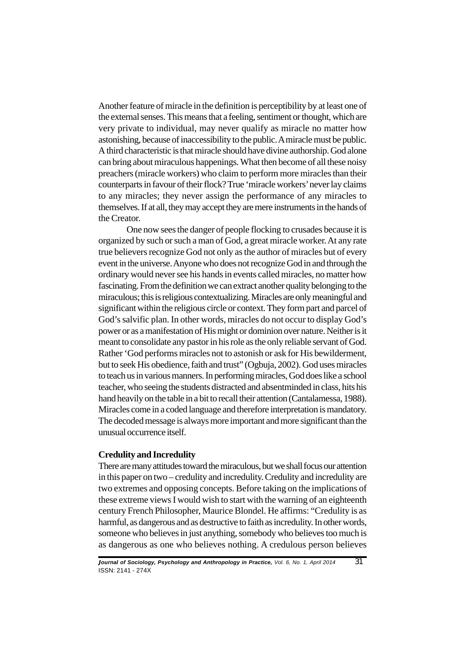Another feature of miracle in the definition is perceptibility by at least one of the external senses. This means that a feeling, sentiment or thought, which are very private to individual, may never qualify as miracle no matter how astonishing, because of inaccessibility to the public. A miracle must be public. A third characteristic is that miracle should have divine authorship. God alone can bring about miraculous happenings. What then become of all these noisy preachers (miracle workers) who claim to perform more miracles than their counterparts in favour of their flock? True 'miracle workers' never lay claims to any miracles; they never assign the performance of any miracles to themselves. If at all, they may accept they are mere instruments in the hands of the Creator.

One now sees the danger of people flocking to crusades because it is organized by such or such a man of God, a great miracle worker. At any rate true believers recognize God not only as the author of miracles but of every event in the universe. Anyone who does not recognize God in and through the ordinary would never see his hands in events called miracles, no matter how fascinating. From the definition we can extract another quality belonging to the miraculous; this is religious contextualizing. Miracles are only meaningful and significant within the religious circle or context. They form part and parcel of God's salvific plan. In other words, miracles do not occur to display God's power or as a manifestation of His might or dominion over nature. Neither is it meant to consolidate any pastor in his role as the only reliable servant of God. Rather 'God performs miracles not to astonish or ask for His bewilderment, but to seek His obedience, faith and trust" (Ogbuja, 2002). God uses miracles to teach us in various manners. In performing miracles, God does like a school teacher, who seeing the students distracted and absentminded in class, hits his hand heavily on the table in a bit to recall their attention (Cantalamessa, 1988). Miracles come in a coded language and therefore interpretation is mandatory. The decoded message is always more important and more significant than the unusual occurrence itself.

#### **Credulity and Incredulity**

There are many attitudes toward the miraculous, but we shall focus our attention in this paper on two – credulity and incredulity. Credulity and incredulity are two extremes and opposing concepts. Before taking on the implications of these extreme views I would wish to start with the warning of an eighteenth century French Philosopher, Maurice Blondel. He affirms: "Credulity is as harmful, as dangerous and as destructive to faith as incredulity. In other words, someone who believes in just anything, somebody who believes too much is as dangerous as one who believes nothing. A credulous person believes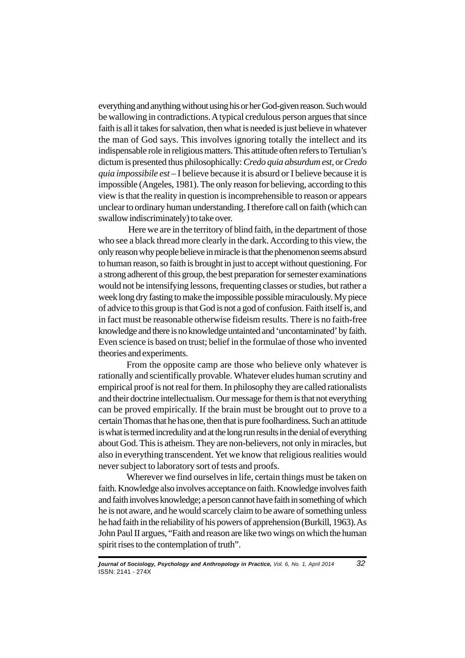everything and anything without using his or her God-given reason. Such would be wallowing in contradictions. A typical credulous person argues that since faith is all it takes for salvation, then what is needed is just believe in whatever the man of God says. This involves ignoring totally the intellect and its indispensable role in religious matters. This attitude often refers to Tertulian's dictum is presented thus philosophically: *Credo quia absurdum est*, or *Credo quia impossibile est* – I believe because it is absurd or I believe because it is impossible (Angeles, 1981). The only reason for believing, according to this view is that the reality in question is incomprehensible to reason or appears unclear to ordinary human understanding. I therefore call on faith (which can swallow indiscriminately) to take over.

 Here we are in the territory of blind faith, in the department of those who see a black thread more clearly in the dark. According to this view, the only reason why people believe in miracle is that the phenomenon seems absurd to human reason, so faith is brought in just to accept without questioning. For a strong adherent of this group, the best preparation for semester examinations would not be intensifying lessons, frequenting classes or studies, but rather a week long dry fasting to make the impossible possible miraculously. My piece of advice to this group is that God is not a god of confusion. Faith itself is, and in fact must be reasonable otherwise fideism results. There is no faith-free knowledge and there is no knowledge untainted and 'uncontaminated' by faith. Even science is based on trust; belief in the formulae of those who invented theories and experiments.

From the opposite camp are those who believe only whatever is rationally and scientifically provable. Whatever eludes human scrutiny and empirical proof is not real for them. In philosophy they are called rationalists and their doctrine intellectualism. Our message for them is that not everything can be proved empirically. If the brain must be brought out to prove to a certain Thomas that he has one, then that is pure foolhardiness. Such an attitude is what is termed incredulity and at the long run results in the denial of everything about God. This is atheism. They are non-believers, not only in miracles, but also in everything transcendent. Yet we know that religious realities would never subject to laboratory sort of tests and proofs.

Wherever we find ourselves in life, certain things must be taken on faith. Knowledge also involves acceptance on faith. Knowledge involves faith and faith involves knowledge; a person cannot have faith in something of which he is not aware, and he would scarcely claim to be aware of something unless he had faith in the reliability of his powers of apprehension (Burkill, 1963). As John Paul II argues, "Faith and reason are like two wings on which the human spirit rises to the contemplation of truth".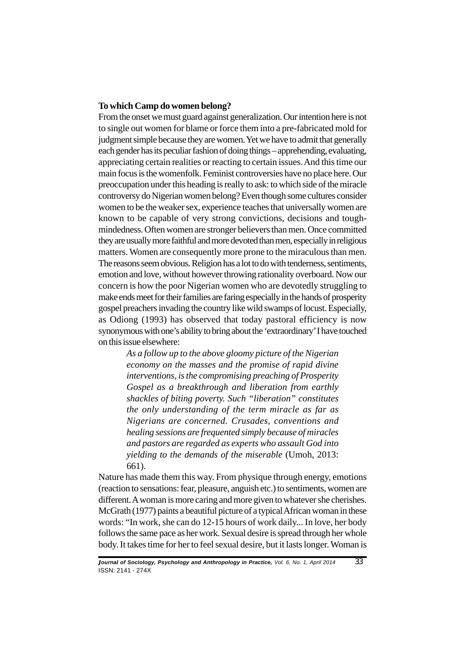## **To which Camp do women belong?**

From the onset we must guard against generalization. Our intention here is not to single out women for blame or force them into a pre-fabricated mold for judgment simple because they are women. Yet we have to admit that generally each gender has its peculiar fashion of doing things – apprehending, evaluating, appreciating certain realities or reacting to certain issues. And this time our main focus is the womenfolk. Feminist controversies have no place here. Our preoccupation under this heading is really to ask: to which side of the miracle controversy do Nigerian women belong? Even though some cultures consider women to be the weaker sex, experience teaches that universally women are known to be capable of very strong convictions, decisions and toughmindedness. Often women are stronger believers than men. Once committed they are usually more faithful and more devoted than men, especially in religious matters. Women are consequently more prone to the miraculous than men. The reasons seem obvious. Religion has a lot to do with tenderness, sentiments, emotion and love, without however throwing rationality overboard. Now our concern is how the poor Nigerian women who are devotedly struggling to make ends meet for their families are faring especially in the hands of prosperity gospel preachers invading the country like wild swamps of locust. Especially, as Odiong (1993) has observed that today pastoral efficiency is now synonymous with one's ability to bring about the 'extraordinary' I have touched on this issue elsewhere:

> *As a follow up to the above gloomy picture of the Nigerian economy on the masses and the promise of rapid divine interventions, is the compromising preaching of Prosperity Gospel as a breakthrough and liberation from earthly shackles of biting poverty. Such "liberation" constitutes the only understanding of the term miracle as far as Nigerians are concerned. Crusades, conventions and healing sessions are frequented simply because of miracles and pastors are regarded as experts who assault God into yielding to the demands of the miserable* (Umoh, 2013: 661).

Nature has made them this way. From physique through energy, emotions (reaction to sensations: fear, pleasure, anguish etc.) to sentiments, women are different. A woman is more caring and more given to whatever she cherishes. McGrath (1977) paints a beautiful picture of a typical African woman in these words: "In work, she can do 12-15 hours of work daily... In love, her body follows the same pace as her work. Sexual desire is spread through her whole body. It takes time for her to feel sexual desire, but it lasts longer. Woman is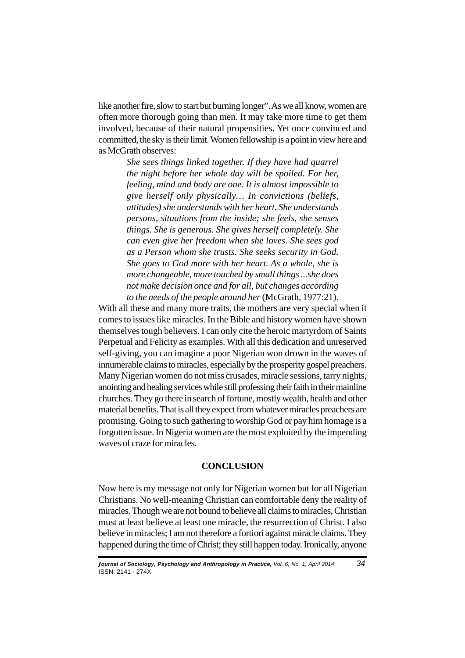like another fire, slow to start but burning longer". As we all know, women are often more thorough going than men. It may take more time to get them involved, because of their natural propensities. Yet once convinced and committed, the sky is their limit. Women fellowship is a point in view here and as McGrath observes:

> *She sees things linked together. If they have had quarrel the night before her whole day will be spoiled. For her, feeling, mind and body are one. It is almost impossible to give herself only physically… In convictions (beliefs, attitudes) she understands with her heart. She understands persons, situations from the inside; she feels, she senses things. She is generous. She gives herself completely. She can even give her freedom when she loves. She sees god as a Person whom she trusts. She seeks security in God. She goes to God more with her heart. As a whole, she is more changeable, more touched by small things ...she does not make decision once and for all, but changes according to the needs of the people around her* (McGrath, 1977:21).

With all these and many more traits, the mothers are very special when it comes to issues like miracles. In the Bible and history women have shown themselves tough believers. I can only cite the heroic martyrdom of Saints Perpetual and Felicity as examples. With all this dedication and unreserved self-giving, you can imagine a poor Nigerian won drown in the waves of innumerable claims to miracles, especially by the prosperity gospel preachers. Many Nigerian women do not miss crusades, miracle sessions, tarry nights, anointing and healing services while still professing their faith in their mainline churches. They go there in search of fortune, mostly wealth, health and other material benefits. That is all they expect from whatever miracles preachers are promising. Going to such gathering to worship God or pay him homage is a forgotten issue. In Nigeria women are the most exploited by the impending waves of craze for miracles.

## **CONCLUSION**

Now here is my message not only for Nigerian women but for all Nigerian Christians. No well-meaning Christian can comfortable deny the reality of miracles. Though we are not bound to believe all claims to miracles, Christian must at least believe at least one miracle, the resurrection of Christ. I also believe in miracles; I am not therefore a fortiori against miracle claims. They happened during the time of Christ; they still happen today. Ironically, anyone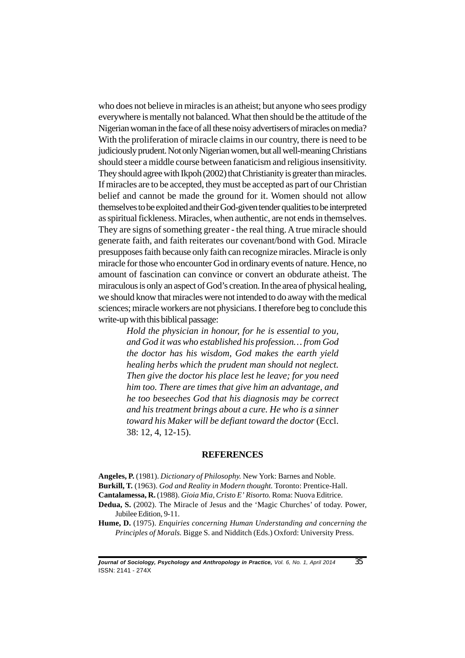who does not believe in miracles is an atheist; but anyone who sees prodigy everywhere is mentally not balanced. What then should be the attitude of the Nigerian woman in the face of all these noisy advertisers of miracles on media? With the proliferation of miracle claims in our country, there is need to be judiciously prudent. Not only Nigerian women, but all well-meaning Christians should steer a middle course between fanaticism and religious insensitivity. They should agree with Ikpoh (2002) that Christianity is greater than miracles. If miracles are to be accepted, they must be accepted as part of our Christian belief and cannot be made the ground for it. Women should not allow themselves to be exploited and their God-given tender qualities to be interpreted as spiritual fickleness. Miracles, when authentic, are not ends in themselves. They are signs of something greater - the real thing. A true miracle should generate faith, and faith reiterates our covenant/bond with God. Miracle presupposes faith because only faith can recognize miracles. Miracle is only miracle for those who encounter God in ordinary events of nature. Hence, no amount of fascination can convince or convert an obdurate atheist. The miraculous is only an aspect of God's creation. In the area of physical healing, we should know that miracles were not intended to do away with the medical sciences; miracle workers are not physicians. I therefore beg to conclude this write-up with this biblical passage:

> *Hold the physician in honour, for he is essential to you, and God it was who established his profession… from God the doctor has his wisdom, God makes the earth yield healing herbs which the prudent man should not neglect. Then give the doctor his place lest he leave; for you need him too. There are times that give him an advantage, and he too beseeches God that his diagnosis may be correct and his treatment brings about a cure. He who is a sinner toward his Maker will be defiant toward the doctor* (Eccl. 38: 12, 4, 12-15).

## **REFERENCES**

**Angeles, P.** (1981). *Dictionary of Philosophy.* New York: Barnes and Noble. **Burkill, T.** (1963). *God and Reality in Modern thought.* Toronto: Prentice-Hall. **Cantalamessa, R.** (1988). *Gioia Mia, Cristo E' Risorto.* Roma: Nuova Editrice.

**Dedua, S.** (2002). The Miracle of Jesus and the 'Magic Churches' of today. Power,

Jubilee Edition, 9-11.

**Hume, D.** (1975). *Enquiries concerning Human Understanding and concerning the Principles of Morals.* Bigge S. and Nidditch (Eds.) Oxford: University Press.

**<sup>J</sup>ournal of Sociology, Psychology and Anthropology in Practice,** Vol. 6, No. 1, April 2014 *35* ISSN: 2141 - 274X